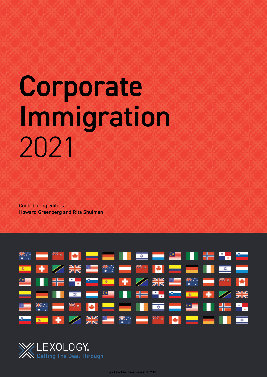# Corporate Immigration 2021

Contributing editors Howard Greenberg and Rita Shulman



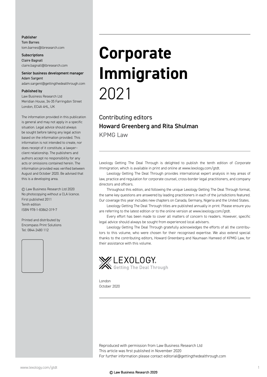#### Publisher Tom Barnes tom.barnes@lbresearch.com

**Subscriptions** Claire Bagnall claire.bagnall@lbresearch.com

#### Senior business development manager Adam Sargent

adam.sargent@gettingthedealthrough.com

#### Published by

Law Business Research Ltd Meridian House, 34-35 Farringdon Street London, EC4A 4HL, UK

The information provided in this publication is general and may not apply in a specific situation. Legal advice should always be sought before taking any legal action based on the information provided. This information is not intended to create, nor does receipt of it constitute, a lawyer– client relationship. The publishers and authors accept no responsibility for any acts or omissions contained herein. The information provided was verified between August and October 2020. Be advised that this is a developing area.

© Law Business Research Ltd 2020 No photocopying without a CLA licence. First published 2011 Tenth edition ISBN 978-1-83862-319-7

Printed and distributed by Encompass Print Solutions Tel: 0844 2480 112



## **Corporate Immigration** 2021

#### Contributing editors Howard Greenberg and Rita Shulman

KPMG Law

Lexology Getting The Deal Through is delighted to publish the tenth edition of *Corporate Immigration*, which is available in print and online at www.lexology.com/gtdt.

Lexology Getting The Deal Through provides international expert analysis in key areas of law, practice and regulation for corporate counsel, cross-border legal practitioners, and company directors and officers.

Throughout this edition, and following the unique Lexology Getting The Deal Through format, the same key questions are answered by leading practitioners in each of the jurisdictions featured. Our coverage this year includes new chapters on Canada, Germany, Nigeria and the United States.

Lexology Getting The Deal Through titles are published annually in print. Please ensure you are referring to the latest edition or to the online version at www.lexology.com/gtdt.

Every effort has been made to cover all matters of concern to readers. However, specific legal advice should always be sought from experienced local advisers.

Lexology Getting The Deal Through gratefully acknowledges the efforts of all the contributors to this volume, who were chosen for their recognised expertise. We also extend special thanks to the contributing editors, Howard Greenberg and Naumaan Hameed of KPMG Law, for their assistance with this volume.



London October 2020

Reproduced with permission from Law Business Research Ltd This article was first published in November 2020 For further information please contact editorial@gettingthedealthrough.com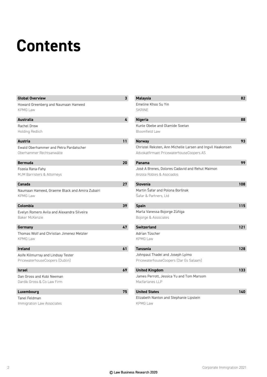### **Contents**

| <b>Global Overview</b>                                                | $\overline{\mathbf{3}}$ | <b>Malaysia</b>                                                                                        | 82  |
|-----------------------------------------------------------------------|-------------------------|--------------------------------------------------------------------------------------------------------|-----|
| Howard Greenberg and Naumaan Hameed<br><b>KPMG Law</b>                |                         | Emeline Khoo Su Yin<br><b>SKRINE</b>                                                                   |     |
| <b>Australia</b>                                                      | $\overline{4}$          | <b>Nigeria</b>                                                                                         | 88  |
| Rachel Drew<br><b>Holding Redlich</b>                                 |                         | Kunle Obebe and Olamide Soetan<br><b>Bloomfield Law</b>                                                |     |
| <b>Austria</b>                                                        | 11                      | <b>Norway</b>                                                                                          | 93  |
| Ewald Oberhammer and Petra Pardatscher<br>Oberhammer Rechtsanwälte    |                         | Christel Reksten, Ann Michelle Larsen and Ingvil Haakonsen<br>Advokatfirmaet PricewaterhouseCoopers AS |     |
| <b>Bermuda</b>                                                        | 20                      | Panama                                                                                                 | 99  |
| Fozeia Rana-Fahy<br>MJM Barristers & Attorneys                        |                         | José A Brenes, Dolores Cadavid and Rehut Maimon<br>Anzola Robles & Asociados                           |     |
| Canada                                                                | 27                      | <b>Slovenia</b>                                                                                        | 108 |
| Naumaan Hameed, Graeme Black and Amira Zubairi<br><b>KPMG Law</b>     |                         | Martin Šafar and Polona Boršnak<br>Šafar & Partners, Ltd                                               |     |
| Colombia                                                              | 39                      | <b>Spain</b>                                                                                           | 115 |
| Evelyn Romero Avila and Alexandra Silveira<br><b>Baker McKenzie</b>   |                         | Marla Vanessa Bojorge Zúñiga<br>Bojorge & Associates                                                   |     |
| Germany                                                               | 47                      | <b>Switzerland</b>                                                                                     | 121 |
| Thomas Wolf and Christian Jimenez Metzler<br><b>KPMG Law</b>          |                         | Adrian Tüscher<br><b>KPMG Law</b>                                                                      |     |
| <b>Ireland</b>                                                        | 61                      | <b>Tanzania</b>                                                                                        | 128 |
| Aoife Kilmurray and Lindsay Tester<br>PricewaterhouseCoopers (Dublin) |                         | Johnpaul Thadei and Joseph Lyimo<br>PricewaterhouseCoopers (Dar Es Salaam)                             |     |
| <b>Israel</b>                                                         | 69                      | <b>United Kingdom</b>                                                                                  | 133 |
| Dan Gross and Kobi Neeman<br>Dardik Gross & Co Law Firm               |                         | James Perrott, Jessica Yu and Tom Marsom<br>Macfarlanes LLP                                            |     |
| Luxembourg                                                            | 75                      | <b>United States</b>                                                                                   | 140 |
| <b>Tanel Feldman</b>                                                  |                         | Elizabeth Nanton and Stephanie Lipstein                                                                |     |
| Immigration Law Associates                                            |                         | <b>KPMG Law</b>                                                                                        |     |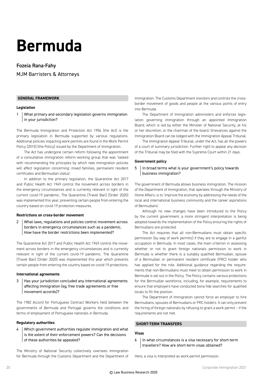### **Bermuda**

#### Fozeia Rana-Fahy

MJM Barristers & Attorneys

#### **GENERAL FRAMEWORK**

#### **Legislation**

1 What primary and secondary legislation governs immigration in your jurisdiction?

The Bermuda Immigration and Protection Act 1956 (the Act) is the primary legislation in Bermuda supported by various regulations. Additional policies impacting work permits are found in the Work Permit Policy (2015) (the Policy) issued by the Department of Immigration.

The Act has undergone certain reform following the appointment of a consultative immigration reform working group that was 'tasked with recommending the principles by which new immigration policies will affect legislation concerning: mixed families, permanent resident certificates and Bermudian status'.

In addition to the primary legislation, the Quarantine Act 2017 and Public Health Act 1949 control the movement across borders in the emergency circumstances and is currently relevant in light of the current covid-19 pandemic. The Quarantine (Travel Ban) (Order 2020) was implemented this year, preventing certain people from entering the country based on covid-19 protection measures.

#### **Restrictions on cross-border movement**

2 What laws, regulations and policies control movement across borders in emergency circumstances such as a pandemic. How have the border restrictions been implemented?

The Quarantine Act 2017 and Public Health Act 1949 control the movement across borders in the emergency circumstances and is currently relevant in light of the current covid-19 pandemic. The Quarantine (Travel Ban) (Order 2020) was implemented this year which prevents certain people from entering the country based on covid-19 protections.

#### **International agreements**

3 Has your jurisdiction concluded any international agreements affecting immigration (eg, free trade agreements or free movement accords)?

The 1982 Accord for Portuguese Contract Workers held between the governments of Bermuda and Portugal governs the conditions and terms of employment of Portuguese nationals in Bermuda.

#### **Regulatory authorities**

4 Which government authorities regulate immigration and what is the extent of their enforcement powers? Can the decisions of these authorities be appealed?

The Ministry of National Security collectively oversees immigration for Bermuda through the Customs Department and the Department of

Immigration. The Customs Department monitors and controls the crossborder movement of goods and people at the various points of entry into Bermuda.

The Department of Immigration administers and enforces legislation governing immigration through an appointed Immigration Board, which is led by either the Minister of National Security, at his or her discretion, or the chairman of the board. Grievances against the Immigration Board can be lodged with the Immigration Appeal Tribunal.

The Immigration Appeal Tribunal, under the Act, has all the powers of a court of summary jurisdiction. Further right to appeal any decision of the Tribunal may be filed with the Supreme Court within 21 days.

#### **Government policy**

#### 5 | In broad terms what is your government's policy towards business immigration?

The government of Bermuda allows business immigration. The mission of the Department of Immigration, that operates through the Ministry of Home Affairs, is to 'improve the economy by addressing the needs of the local and international business community and the career aspirations of Bermudians'.

Although no new changes have been introduced to the Policy by the current government, a more stringent interpretation is being adopted towards the implementation of the Policy ensuring the rights of Bermudians are protected.

The Act requires that all non-Bermudians must obtain specific permission (by way of work permits) if they are to engage in a gainful occupation in Bermuda. In most cases, the main criterion in assessing whether or not to grant foreign nationals permission to work in Bermuda is whether there is a suitably qualified Bermudian, spouse of a Bermudian or permanent resident certificate (PRC) holder who has applied for the role. Additional guidance regarding the requirements that non-Bermudians must meet to obtain permission to work in Bermuda is set out in the Policy. The Policy contains various protections for the Bermudian workforce, including, for example, requirements to ensure that employers have conducted bona fide searches for qualified locals to fill the position.

The Department of Immigration cannot force an employer to hire Bermudians, spouses of Bermudians or PRC holders. It can only prevent the hiring of foreign nationals by refusing to grant a work permit – if the requirements are not met.

#### **SHORT-TERM TRANSFERS**

#### **Visas**

6 | In what circumstances is a visa necessary for short-term travellers? How are short-term visas obtained?

Here, a visa is interpreted as work-permit permission.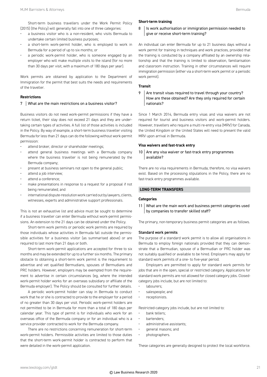Short-term business travellers under the Work Permit Policy (2015) (the Policy) will generally fall into one of three categories:

- a business visitor who is a non-resident, who visits Bermuda to undertake certain limited business purposes;
- a short-term work-permit holder, who is employed to work in Bermuda for a period of up to six months; or
- a periodic work-permit holder, who is someone engaged by an employer who will make multiple visits to the island (for no more than 30 days per visit, with a maximum of 180 days per year).

Work permits are obtained by application to the Department of Immigration for the permit that best suits the needs and requirements of the traveller.

#### **Restrictions**

#### 7 What are the main restrictions on a business visitor?

Business visitors do not need work-permit permissions if they have a return ticket, their stay does not exceed 21 days and they are undertaking certain types of activities. A full list of those activities is included in the Policy. By way of example, a short-term business traveller visiting Bermuda for less than 21 days can do the following without work-permit permission:

- attend broker, director or shareholder meetings;
- attend general business meetings with a Bermuda company where the business traveller is not being remunerated by the Bermuda company;
- present at business seminars not open to the general public;
- attend a job interview;
- attend a conference;
- make presentations in response to a request for a proposal if not being remunerated; and
- international dispute-resolution work carried out by lawyers, clients, witnesses, experts and administrative support professionals.

This is not an exhaustive list and advice must be sought to determine if a business traveller can enter Bermuda without work-permit permissions. An extension to the 21 days can be obtained under the Policy.

Short-term work permits or periodic work permits are required by those individuals whose activities in Bermuda fall outside the permissible activities for a business visitor (as summarised above) or are required to last more than 21 days or both.

Short-term work-permit applications are accepted for three to six months and may be extended for up to a further six months. The primary obstacle to obtaining a short-term work permit is the requirement to advertise and vet qualified Bermudians, spouses of Bermudians and PRC holders. However, employers may be exempted from the requirement to advertise in certain circumstances (eg, where the intended work-permit holder works for an overseas subsidiary or affiliate of the Bermuda employer). The Policy should be consulted for further details.

A periodic work-permit holder can stay in Bermuda to conduct work that he or she is contracted to provide to the employer for a period of no greater than 30 days per visit. Periodic work-permit holders are not permitted to be in Bermuda for more than a total of 180 days per calendar year. This type of permit is for individuals who work for an overseas office of the Bermuda company or for an individual who is a service provider contracted to work for the Bermuda company.

There are no restrictions concerning remuneration for short-term work-permit holders. Permissible activities are limited to those duties that the short-term work-permit holder is contracted to perform that were detailed in the work-permit application.

#### **Short-term training**

8 | Is work authorisation or immigration permission needed to give or receive short-term training?

An individual can enter Bermuda for up to 21 business days without a work permit for training in techniques and work practices, provided that the training is conducted by a company affiliated by an ownership relationship and that the training is limited to observation, familiarisation and classroom instruction. Training in other circumstances will require immigration permission (either via a short-term work permit or a periodic work permit).

#### **Transit**

 $9$  Are transit visas required to travel through your country? How are these obtained? Are they only required for certain nationals?

Since 1 March 2014, Bermuda entry visas and visa waivers are not required for tourist and business visitors and work-permit holders. However, travellers who require a multi re-entry visa (MRV) for Canada, the United Kingdom or the United States will need to present the valid MRV upon arrival in Bermuda.

#### **Visa waivers and fast-track entry**

#### $10$  Are any visa waiver or fast-track entry programmes available?

There are no visa requirements in Bermuda; therefore, no visa waivers exist. Based on the processing stipulations in the Policy, there are no fast-track entry programmes available.

#### **LONG-TERM TRANSFERS**

#### **Categories**

11 What are the main work and business permit categories used by companies to transfer skilled staff?

The primary, non-temporary business permit categories are as follows.

#### Standard work permits

The purpose of a standard work permit is to allow all organisations in Bermuda to employ foreign nationals provided that they can demonstrate that a Bermudian, spouse of a Bermudian or PRC holder was not suitably qualified or available to be hired. Employers may apply for standard work permits of a one- to five-year period.

Employers are permitted to apply for standard work permits for jobs that are in the open, special or restricted category. Applications for standard work permits are not allowed for closed category jobs. Closedcategory jobs include, but are not limited to:

- labourers:
- salespeople; and
- receptionists.

Restricted-category jobs include, but are not limited to:

- bank tellers;
- bartenders;
- administrative assistants;
- general masons; and
- photographers.

These categories are generally designed to protect the local workforce.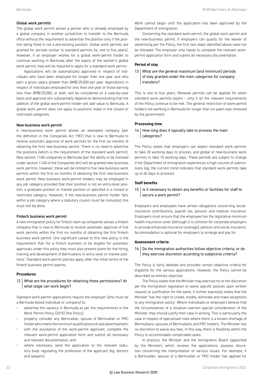#### Global work permits

The global work permit allows a person who is already employed by a global company in another jurisdiction to transfer to the Bermuda office without the requirement to advertise the position only if the position being filled is not a pre-existing position. Global work permits are granted for periods similar to standard permits (ie, one to five years). However, if an employer wishes for a global work-permit holder to continue working in Bermuda after the expiry of the worker's global work permit, they will be required to apply for a standard work permit.

Applications will be automatically approved in respect of individuals who have been employed for longer than one year and who earn a gross salary greater than BM\$125,000 per year. Applications in respect of individuals employed for less than one year or those earning less than BM\$125,000, or both, will be considered on a case-by-case basis and approval will substantially depend on demonstrating that the addition of the global work-permit holder will add value to Bermuda. A global work permit does not apply to positions listed in the closed or restricted categories.

#### New-business work permit

A new-business work permit allows an exempted company (per the definition in the Companies Act 1981) that is new to Bermuda to receive automatic approval of work permits for the first six months of obtaining the first new-business permit. There is no need to advertise the positions (which is the requirement of the standard work permit). New section 114B companies to Bermuda (per the ability to be licensed under section 114B of the Companies Act) will be granted new-business work permits; however, these will be limited to five new-business work permits within the first six months of obtaining the first new-business work permit. New business work-permit holders may be employed in any job category provided that their position is not an entry-level position, a graduate position or trainee position or specified in a closed or restricted category. However, if the new-business permit holder falls within a job category where a statutory council must be consulted, this must still be done.

#### Fintech business work permit

A new immigration policy for fintech start-up companies allows a fintech company that is new to Bermuda to receive automatic approval of five work permits within the first six months of obtaining the first fintech business work permit. One significant caveat to this new policy is the requirement that 'for a fintech business to be eligible for automatic approvals under this policy they must also present plans for the hiring, training and development of Bermudians in entry level or trainee positions'. Standard work-permit policies apply after the initial terms of the fintech business permit expires.

#### **Procedures**

#### 12 What are the procedures for obtaining these permissions? At what stage can work begin?

Standard work-permit applications require the employer (who must be a Bermuda-based individual or company) to:

- advertise the vacancy in Bermuda as per the requirements in the Work Permit Policy (2015) (the Policy);
- properly consider any Bermudian, spouse of Bermudian or PRC holder who meets the minimum qualifications of said advertisement;
- with the assistance of the work-permit applicant, complete the relevant work-permit application form and submit all necessary and relevant documentation; and
- where necessary, send the application to the relevant statutory body regulating the profession of the applicant (eg, doctors and lawyers).

Work cannot begin until the application has been approved by the Department of Immigration.

Concerning the standard work permit, the global work permit and the new-business permit, if employers can qualify for the waiver of advertising per the Policy, the first two steps identified above need not be followed. The employer only needs to complete the relevant workpermit application form and submit all necessary documentation.

#### **Period of stay**

#### 13 What are the general maximum (and minimum) periods of stay granted under the main categories for company transfers?

This is one to five years. Renewal permits can be applied for when standard work permits expire – only if all the relevant requirements of the Policy continue to be met. The general restriction of work-permit holders not working in Bermuda for longer than six years was removed by the government.

#### **Processing time**

#### $14$  How long does it typically take to process the main categories?

The Policy states that employers can expect standard work permits to take 20 working days to process, and global or new-business work permits to take 10 working days. These periods are subject to change if the Department of Immigration experiences a high volume of submissions (eg, the current trend indicates that standard work permits take up to 60 days to process).

#### **Staff benefits**

15 | Is it necessary to obtain any benefits or facilities for staff to secure a work permit?

Employers and employees have certain obligations concerning socialinsurance contributions, payroll tax, pension and medical insurance. Employers must ensure that the employee has the legislative minimum health-insurance cover (although it is common for corporate employers to provide enhanced insurance coverage), pension and social insurance. Accommodation is optional for employers to arrange and pay for.

#### **Assessment criteria**

16 Do the immigration authorities follow objective criteria, or do they exercise discretion according to subjective criteria?

The Policy is fairly detailed and provides certain objective criteria for eligibility for the various applications. However, the Policy cannot be described as entirely objective.

The Policy states that the Minister may exercise his or her discretion per the immigration legislation to waive specific policies upon written request or justification for the same. It further expressly states that the Minister 'has the right to create, modify, eliminate and make exceptions to any immigration policy'. Where individuals or employers believe that the circumstances of a situation warrant special consideration of the Minister, they should justify their case in writing. This is particularly the case in respect of specialised roles where there is a known shortage of Bermudians, spouses of Bermudians and PRC holders. The Minister has no discretion to waive any fees. In this way, there is flexibility within the Policy to accommodate complicated cases.

In practice, the Minister and the Immigration Board (appointed by the Minister), which reviews the applications, possess discretion concerning the interpretation of various issues. For example, if a Bermudian, spouse of a Bermudian or PRC holder has applied for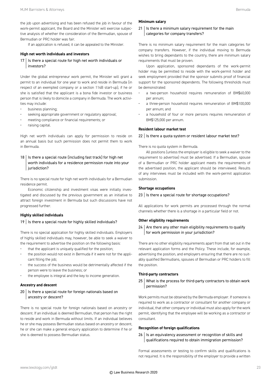If an application is refused, it can be appealed to the Minister.

tive analysis of whether the consideration of the Bermudian, spouse of

#### **High net worth individuals and investors**

Bermudian or PRC holder was fair.

 $17$  | Is there a special route for high net worth individuals or investors?

Under the global entrepreneur work permit, the Minister will grant a permit to an individual for one year to work and reside in Bermuda (in respect of an exempted company or a section 114B start-up), if he or she is satisfied that the applicant is a bona fide investor or business person that is likely to domicile a company in Bermuda. The work activities may include:

- business planning;
- seeking appropriate government or regulatory approval;
- meeting compliance or financial requirements; or
- raising capital.

High net worth individuals can apply for permission to reside on an annual basis but such permission does not permit them to work in Bermuda.

#### $18$  | Is there a special route (including fast track) for high net worth individuals for a residence permission route into your jurisdiction?

There is no special route for high net worth individuals for a Bermudian residence permit.

Economic citizenship and investment visas were initially investigated and discussed by the previous government as an initiative to attract foreign investment in Bermuda but such discussions have not progressed further.

#### **Highly skilled individuals**

#### 19 | Is there a special route for highly skilled individuals?

There is no special application for highly skilled individuals. Employers of highly skilled individuals may, however, be able to seek a waiver to the requirement to advertise the position on the following basis:

- that the applicant is uniquely qualified for the position;
- the position would not exist in Bermuda if it were not for the applicant filling the job;
- the success of the business would be detrimentally affected if the person were to leave the business; or
- the employee is integral and the key to income generation.

#### **Ancestry and descent**

#### $20$  | Is there a special route for foreign nationals based on ancestry or descent?

There is no special route for foreign nationals based on ancestry or descent. If an individual is deemed Bermudian, that person has the right to reside and work in Bermuda without limits. If an individual believes he or she may possess Bermudian status based on ancestry or descent, he or she can make a general enquiry application to determine if he or she is deemed to possess Bermudian status.

#### **Minimum salary**

#### $21$  Is there a minimum salary requirement for the main categories for company transfers?

There is no minimum salary requirement for the main categories for company transfers. However, if the individual moving to Bermuda wishes to bring dependants to the country, there are minimum salary requirements that must be proven.

Upon application, sponsored dependants of the work-permit holder may be permitted to reside with the work-permit holder and seek employment provided that the sponsor submits proof of financial support for the sponsored dependents. The following thresholds must be demonstrated:

- a two-person household requires remuneration of BM\$60,000 per annum;
- a three-person household requires remuneration of BM\$100,000 per annum; and
- a household of four or more persons requires remuneration of BM\$125,000 per annum.

#### **Resident labour market test**

#### $22$  Is there a quota system or resident labour market test?

There is no quota system in Bermuda.

All positions (unless the employer is eligible to seek a waiver to the requirement to advertise) must be advertised. If a Bermudian, spouse of a Bermudian or PRC holder applicant meets the requirements of the advertised position, the applicant should be interviewed. Results of any interviews must be included with the work-permit application submission.

#### **Shortage occupations**

#### $23$  | Is there a special route for shortage occupations?

All applications for work permits are processed through the normal channels whether there is a shortage in a particular field or not.

#### **Other eligibility requirements**

 $24$  Are there any other main eligibility requirements to qualify for work permission in your jurisdiction?

There are no other eligibility requirements apart from that set out in the relevant application forms and the Policy. These include, for example, advertising the position, and employers ensuring that there are no suitably qualified Bermudians, spouses of Bermudian or PRC holders to fill the position.

#### **Third-party contractors**

25 What is the process for third-party contractors to obtain work permission?

Work permits must be obtained by the Bermuda employer. If someone is required to work as a contractor or consultant for another company or individual, that other company or individual must also apply for the work permit, identifying that the employee will be working as a contractor or consultant.

#### **Recognition of foreign qualifications**

 $26$  | Is an equivalency assessment or recognition of skills and qualifications required to obtain immigration permission?

Formal assessments or testing to confirm skills and qualifications is not required. It is the responsibility of the employer to provide a written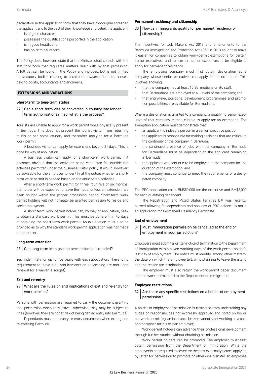declaration in the application form that they have thoroughly screened the applicant and to the best of their knowledge and belief, the applicant:

- is of good character;
- possesses the qualifications purported in the application;
- is in good health; and
- has no criminal record.

The Policy does, however, state that the Minister shall consult with the statutory body that regulates matters dealt with by that profession. A full list can be found in the Policy and includes, but is not limited to, statutory bodies relating to architects, lawyers, dentists, nurses, psychologists, accountants and engineers.

#### **EXTENSIONS AND VARIATIONS**

#### **Short-term to long-term status**

27 Can a short-term visa be converted in-country into longerterm authorisations? If so, what is the process?

Tourists are unable to apply for a work permit while physically present in Bermuda. This does not prevent the tourist visitor from returning to his or her home country and thereafter applying for a Bermuda work permit.

A business visitor can apply for extensions beyond 21 days. This is done by way of application.

A business visitor can apply for a short-term work permit if it becomes obvious that the activities being conducted fall outside the activities permitted under the business-visitor policy. It would, however, be advisable for the employer to identify at the outset whether a shortterm work permit is needed based on the anticipated activities.

After a short-term work permit for three, four, five or six months, the holder will be expected to leave Bermuda, unless an extension has been sought within the proper processing period. Short-term work permit holders will not normally be granted permission to reside and seek employment.

A short-term work-permit holder can, by way of application, seek to obtain a standard work permit. This must be done within 45 days of obtaining the short-term work permit. An explanation must also be provided as to why the standard work-permit application was not made at the outset.

#### **Long-term extension**

#### 28 Can long-term immigration permission be extended?

Yes, indefinitely for up to five years with each application. There is no requirement to leave if all requirements on advertising are met upon renewal (or a waiver is sought).

#### **Exit and re-entry**

29 What are the rules on and implications of exit and re-entry for work permits?

Persons with permission are required to carry the document granting that permission when they travel, otherwise, they may be subject to fines (however, they are not at risk of being denied entry into Bermuda).

Dependants must also carry re-entry documents when exiting and re-entering Bermuda.

#### **Permanent residency and citizenship**

#### 30 How can immigrants qualify for permanent residency or citizenship?

The Incentives for Job Makers Act 2013 and amendments to the Bermuda Immigration and Protection Act 1956 in 2013 sought to make it easier for companies to obtain work-permit exemptions for certain senior executives, and for certain senior executives to be eligible to apply for permanent residency.

The employing company must first obtain designation as a company whose senior executives can apply for an exemption. This involves showing:

- that the company has at least 10 Bermudians on its staff;
- that Bermudians are employed at all levels of the company; and
- that entry-level positions, development programmes and promotion possibilities are available for Bermudians.

Where a designation is granted to a company, a qualifying senior executive of that company is then eligible to apply for an exemption. The exemption application must demonstrate that:

- an applicant is indeed a person in a senior executive position;
- the applicant is responsible for making decisions that are critical to the continuity of the company in Bermuda;
- the continued presence of jobs with the company in Bermuda for Bermudians must be dependent on the applicant remaining in Bermuda;
- the applicant will continue to be employed in the company for the duration of the exemption; and
- the company must continue to meet the requirements of a designated company.

The PRC application costs BM\$50,000 for the executive and BM\$3,000 for each qualifying dependent.

The Repatriation and Mixed Status Families Bill was recently passed allowing for dependents and spouses of PRC holders to make an application for Permanent Residency Certificate.

#### **End of employment**

#### 31 Must immigration permission be cancelled at the end of employment in your jurisdiction?

Employers must submit a written notice of termination to the Department of Immigration within seven working days of the work-permit holder's last day of employment. The notice must identify, among other matters, the date on which the employee left, or is planning to leave the island and the reason for termination.

The employer must also return the work-permit paper document and the work-permit card to the Department of Immigration.

#### **Employee restrictions**

#### 32 Are there any specific restrictions on a holder of employment permission?

A holder of employment permission is restricted from undertaking any duties or responsibilities not expressly approved and noted on his or her work permit (eg, an insurance broker cannot start working as a paid photographer for his or her employer).

Work-permit holders can advance their professional development through further studies without obtaining permission.

Work-permit holders can be promoted. The employer must first obtain permission from the Department of Immigration. While the employer is not required to advertise the post externally before applying by letter for permission to promote or otherwise transfer an employee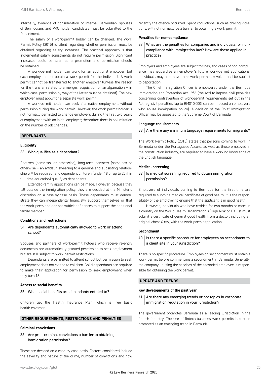The salary of a work-permit holder can be changed. The Work Permit Policy (2015) is silent regarding whether permission must be obtained regarding salary increases. The practical approach is that incremental salary adjustments do not require permission. Significant increases could be seen as a promotion and permission should be obtained.

A work-permit holder can work for an additional employer, but each employer must obtain a work permit for the individual. A work permit cannot be transferred to another employer (unless the reason for the transfer relates to a merger, acquisition or amalgamation – in which case, permission by way of the letter must be obtained). The new employer must apply for a separate work permit.

A work-permit holder can seek alternative employment without permission during the work permit. However, the work-permit holder is not normally permitted to change employers during the first two years of employment with an initial employer; thereafter, there is no limitation on the number of job changes.

#### **DEPENDANTS**

#### **Eligibility**

#### 33 Who qualifies as a dependant?

Spouses (same-sex or otherwise), long-term partners (same-sex or otherwise – an affidavit swearing to a genuine and subsisting relationship will be required) and dependent children (under 18 or up to 25 if in full-time education) qualify as dependants.

Extended-family applications can be made. However, because they fall outside the immigration policy, they are decided at the Minister's discretion on a case-by-case basis. These dependants must demonstrate they can independently financially support themselves or that the work-permit holder has sufficient finances to support the additional family member.

#### **Conditions and restrictions**

#### 34 Are dependants automatically allowed to work or attend school?

Spouses and partners of work-permit holders who receive re-entry documents are automatically granted permission to seek employment but are still subject to work-permit restrictions.

Dependants are permitted to attend school but permission to seek employment does not extend to children. Child dependants are required to make their application for permission to seek employment when they turn 18.

#### **Access to social benefits**

#### 35 What social benefits are dependants entitled to?

Children get the Health Insurance Plan, which is free basic health coverage.

#### **OTHER REQUIREMENTS, RESTRICTIONS AND PENALTIES**

#### **Criminal convictions**

 $36$  Are prior criminal convictions a barrier to obtaining immigration permission?

These are decided on a case-by-case basis. Factors considered include the severity and nature of the crime, number of convictions and how recently the offence occurred. Spent convictions, such as driving violations, will not normally be a barrier to obtaining a work permit.

#### **Penalties for non-compliance**

37 What are the penalties for companies and individuals for noncompliance with immigration law? How are these applied in practice?

Employers and employees are subject to fines, and cases of non-compliance may jeopardise an employer's future work-permit applications. Individuals may also have their work permits revoked and be subject to deportation.

The Chief Immigration Officer is empowered under the Bermuda Immigration and Protection Act 1956 (the Act) to impose civil penalties concerning contravention of work-permit requirements set out in the Act (eg, civil penalties (up to BM\$10,000) can be imposed on employers who abuse immigration policy). A decision of the Chief Immigration Officer may be appealed to the Supreme Court of Bermuda.

#### **Language requirements**

 $38$  Are there any minimum language requirements for migrants?

The Work Permit Policy (2015) states that persons coming to work in Bermuda under the Portuguese Accord, as well as those employed in the construction industry, are required to have a working knowledge of the English language.

#### **Medical screening**

#### 39 | Is medical screening required to obtain immigration permission?

Employers of individuals coming to Bermuda for the first time are required to submit a medical certificate of good health. It is the responsibility of the employer to ensure that the applicant is in good health.

However, individuals who have resided for two months or more in a country on the World Health Organization's 'High Risk of TB' list must submit a certificate of general good health from a doctor, including an original chest X-ray, with the work-permit application.

#### **Secondment**

#### 40 | Is there a specific procedure for employees on secondment to a client site in your jurisdiction?

There is no specific procedure. Employees on secondment must obtain a work permit before commencing a secondment in Bermuda. Generally, the company utilising the services of the seconded employee is responsible for obtaining the work permit.

#### **UPDATE AND TRENDS**

#### **Key developments of the past year**

41 | Are there any emerging trends or hot topics in corporate immigration regulation in your jurisdiction?

The government promotes Bermuda as a leading jurisdiction in the fintech industry. The use of fintech-business work permits has been promoted as an emerging trend in Bermuda.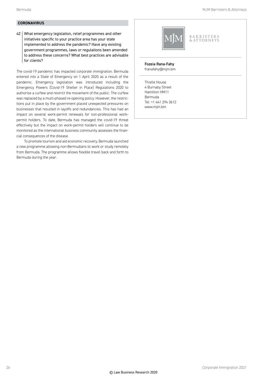#### **CORONAVIRUS**

42 What emergency legislation, relief programmes and other initiatives specific to your practice area has your state implemented to address the pandemic? Have any existing government programmes, laws or regulations been amended to address these concerns? What best practices are advisable for clients?

The covid-19 pandemic has impacted corporate immigration. Bermuda entered into a State of Emergency on 1 April 2020 as a result of the pandemic. Emergency legislation was introduced including the Emergency Powers (Covid-19 Shelter in Place) Regulations 2020 to authorise a curfew and restrict the movement of the public. The curfew was replaced by a multi-phased re-opening policy. However, the restrictions put in place by the government placed unexpected pressures on businesses that resulted in layoffs and redundancies. This has had an impact on several work-permit renewals for non-professional workpermit holders. To date, Bermuda has managed the covid-19 threat effectively but the impact on work-permit holders will continue to be monitored as the international business community assesses the financial consequences of the disease.

To promote tourism and aid economic recovery, Bermuda launched a new programme allowing non-Bermudians to work or study remotely from Bermuda. The programme allows flexible travel back and forth to Bermuda during the year.



#### Fozeia Rana-Fahy

franafahy@mjm.bm

Thistle House 4 Burnaby Street Hamilton HM11 Bermuda Tel: +1 441 294 3612 www.mjm.bm